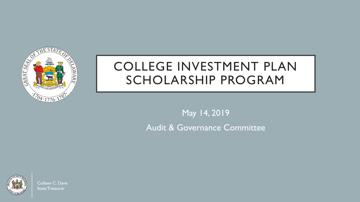

# COLLEGE INVESTMENT PLAN SCHOLARSHIP PROGRAM

May 14, 2019 Audit & Governance Committee



Colleen C. Davis State Treasurer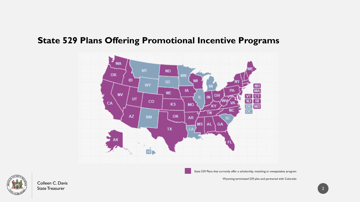#### **State 529 Plans Offering Promotional Incentive Programs**



State 529 Plans that currently offer a scholarship, matching or sweepstakes program

Wyoming terminated 529 plan and partnered with Colorado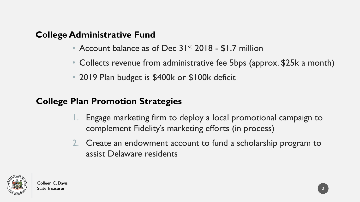#### **College Administrative Fund**

- Account balance as of Dec 31<sup>st</sup> 2018 \$1.7 million
- Collects revenue from administrative fee 5bps (approx. \$25k a month)
- 2019 Plan budget is \$400k or \$100k deficit

#### **College Plan Promotion Strategies**

- 1. Engage marketing firm to deploy a local promotional campaign to complement Fidelity's marketing efforts (in process)
- 2. Create an endowment account to fund a scholarship program to assist Delaware residents

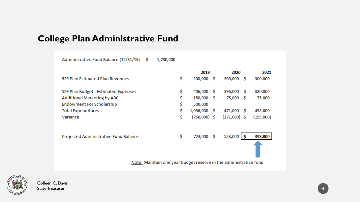## **College Plan Administrative Fund**

| Administrative Fund Balance (12/31/18)                            | Ŝ | 1,780,000 |    |                |      |                |      |           |
|-------------------------------------------------------------------|---|-----------|----|----------------|------|----------------|------|-----------|
|                                                                   |   |           |    | 2019           | 2020 |                | 2021 |           |
| 529 Plan Estimated Plan Revenues                                  |   |           | \$ | 300,000        | - S  | 300,000        | -S   | 300,000   |
| 529 Plan Budget -Estimated Expenses                               |   |           | \$ | 406,000        | - S  | 396,000        | -S   | 380,000   |
| Additional Marketing by ABC                                       |   |           | \$ | 150,000        | - S  | 75,000         | S    | 75,000    |
| Endowment For Scholarship                                         |   |           | \$ | 500,000        |      |                |      |           |
| <b>Total Expenditures</b>                                         |   |           | \$ | $1,056,000$ \$ |      | 471,000        | -S   | 455,000   |
| Variance                                                          |   |           | \$ | (756,000) \$   |      | $(171,000)$ \$ |      | (155,000) |
| Projected Administrative Fund Balance                             |   |           | \$ | 724,000        | - \$ | 553,000        |      | 398,000   |
|                                                                   |   |           |    |                |      |                |      |           |
| Note: Maintain one year budget reserve in the administrative fund |   |           |    |                |      |                |      |           |

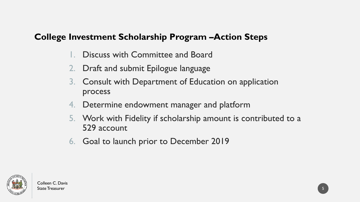#### **College Investment Scholarship Program –Action Steps**

- Discuss with Committee and Board
- 2. Draft and submit Epilogue language
- 3. Consult with Department of Education on application process
- 4. Determine endowment manager and platform
- 5. Work with Fidelity if scholarship amount is contributed to a 529 account
- 6. Goal to launch prior to December 2019

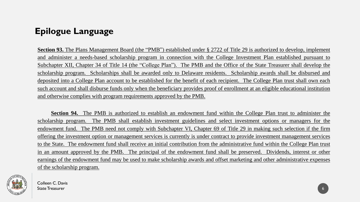### **Epilogue Language**

**Section 93.** The Plans Management Board (the "PMB") established under § 2722 of Title 29 is authorized to develop, implement and administer a needs-based scholarship program in connection with the College Investment Plan established pursuant to Subchapter XII, Chapter 34 of Title 14 (the "College Plan"). The PMB and the Office of the State Treasurer shall develop the scholarship program. Scholarships shall be awarded only to Delaware residents. Scholarship awards shall be disbursed and deposited into a College Plan account to be established for the benefit of each recipient. The College Plan trust shall own each such account and shall disburse funds only when the beneficiary provides proof of enrollment at an eligible educational institution and otherwise complies with program requirements approved by the PMB.

**Section 94.** The PMB is authorized to establish an endowment fund within the College Plan trust to administer the scholarship program. The PMB shall establish investment guidelines and select investment options or managers for the endowment fund. The PMB need not comply with Subchapter VI, Chapter 69 of Title 29 in making such selection if the firm offering the investment option or management services is currently is under contract to provide investment management services to the State. The endowment fund shall receive an initial contribution from the administrative fund within the College Plan trust in an amount approved by the PMB. The principal of the endowment fund shall be preserved. Dividends, interest or other earnings of the endowment fund may be used to make scholarship awards and offset marketing and other administrative expenses of the scholarship program.

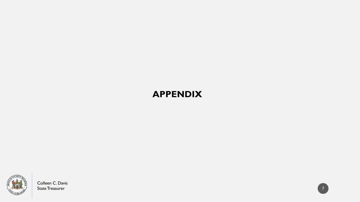### **APPENDIX**



Colleen C. Davis State Treasurer

 $7<sup>7</sup>$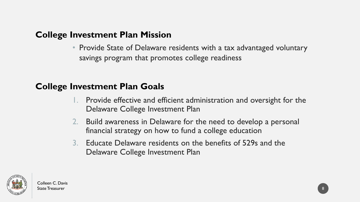#### **College Investment Plan Mission**

• Provide State of Delaware residents with a tax advantaged voluntary savings program that promotes college readiness

#### **College Investment Plan Goals**

- 1. Provide effective and efficient administration and oversight for the Delaware College Investment Plan
- 2. Build awareness in Delaware for the need to develop a personal financial strategy on how to fund a college education
- 3. Educate Delaware residents on the benefits of 529s and the Delaware College Investment Plan

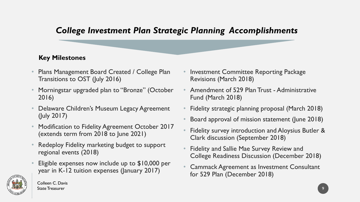#### *College Investment Plan Strategic Planning Accomplishments*

#### **Key Milestones**

- Plans Management Board Created / College Plan Transitions to OST (July 2016)
- Morningstar upgraded plan to "Bronze" (October 2016)
- Delaware Children's Museum Legacy Agreement (July 2017)
- Modification to Fidelity Agreement October 2017 (extends term from 2018 to June 2021)
- Redeploy Fidelity marketing budget to support regional events (2018)
- Eligible expenses now include up to \$10,000 per year in K-12 tuition expenses (January 2017)
- Investment Committee Reporting Package Revisions (March 2018)
- Amendment of 529 Plan Trust Administrative Fund (March 2018)
- Fidelity strategic planning proposal (March 2018)
- Board approval of mission statement (June 2018)
- Fidelity survey introduction and Aloysius Butler & Clark discussion (September 2018)
- Fidelity and Sallie Mae Survey Review and College Readiness Discussion (December 2018)
- Cammack Agreement as Investment Consultant for 529 Plan (December 2018)